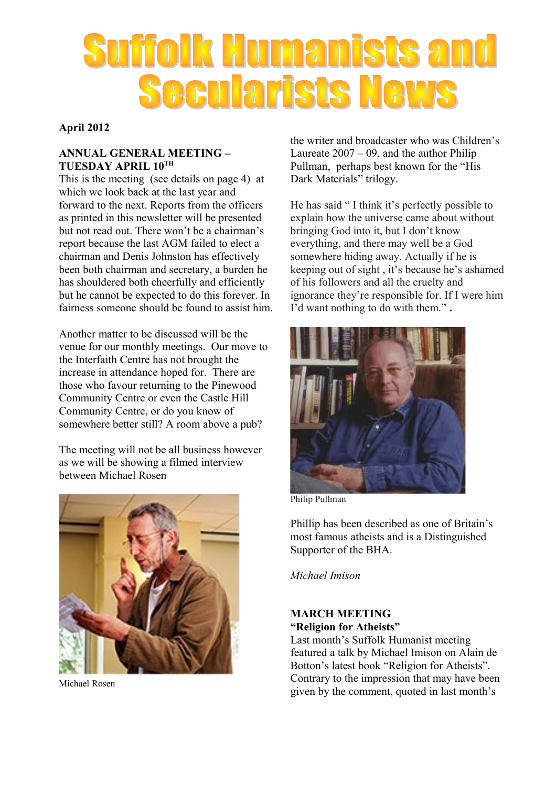# **Suffolk Humanists and Secularists News**

#### **April 2012**

#### **ANNUAL GENERAL MEETING – TUESDAY APRIL 10TH**

This is the meeting (see details on page 4) at which we look back at the last year and forward to the next. Reports from the officers as printed in this newsletter will be presented but not read out. There won't be a chairman's report because the last AGM failed to elect a chairman and Denis Johnston has effectively been both chairman and secretary, a burden he has shouldered both cheerfully and efficiently but he cannot be expected to do this forever. In fairness someone should be found to assist him.

Another matter to be discussed will be the venue for our monthly meetings. Our move to the Interfaith Centre has not brought the increase in attendance hoped for. There are those who favour returning to the Pinewood Community Centre or even the Castle Hill Community Centre, or do you know of somewhere better still? A room above a pub?

The meeting will not be all business however as we will be showing a filmed interview between Michael Rosen



Michael Rosen

the writer and broadcaster who was Children's Laureate  $2007 - 09$ , and the author Philip Pullman, perhaps best known for the "His Dark Materials" trilogy.

He has said " I think it's perfectly possible to explain how the universe came about without bringing God into it, but I don't know everything, and there may well be a God somewhere hiding away. Actually if he is keeping out of sight , it's because he's ashamed of his followers and all the cruelty and ignorance they're responsible for. If I were him I'd want nothing to do with them." **.**



Philip Pullman

Phillip has been described as one of Britain's most famous atheists and is a Distinguished Supporter of the BHA.

*Michael Imison*

#### **MARCH MEETING "Religion for Atheists"**

Last month's Suffolk Humanist meeting featured a talk by Michael Imison on Alain de Botton's latest book "Religion for Atheists". Contrary to the impression that may have been given by the comment, quoted in last month's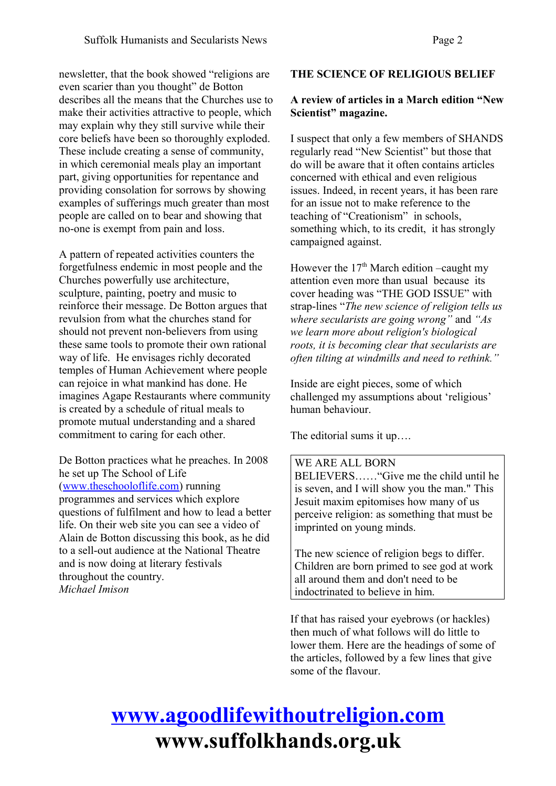newsletter, that the book showed "religions are even scarier than you thought" de Botton describes all the means that the Churches use to make their activities attractive to people, which may explain why they still survive while their core beliefs have been so thoroughly exploded. These include creating a sense of community, in which ceremonial meals play an important part, giving opportunities for repentance and providing consolation for sorrows by showing examples of sufferings much greater than most people are called on to bear and showing that no-one is exempt from pain and loss.

A pattern of repeated activities counters the forgetfulness endemic in most people and the Churches powerfully use architecture, sculpture, painting, poetry and music to reinforce their message. De Botton argues that revulsion from what the churches stand for should not prevent non-believers from using these same tools to promote their own rational way of life. He envisages richly decorated temples of Human Achievement where people can rejoice in what mankind has done. He imagines Agape Restaurants where community is created by a schedule of ritual meals to promote mutual understanding and a shared commitment to caring for each other.

De Botton practices what he preaches. In 2008 he set up The School of Life [\(www.theschooloflife.com\)](http://www.theschooloflife.com/) running programmes and services which explore questions of fulfilment and how to lead a better life. On their web site you can see a video of Alain de Botton discussing this book, as he did to a sell-out audience at the National Theatre and is now doing at literary festivals throughout the country. *Michael Imison*

#### **THE SCIENCE OF RELIGIOUS BELIEF**

#### **A review of articles in a March edition "New Scientist" magazine.**

I suspect that only a few members of SHANDS regularly read "New Scientist" but those that do will be aware that it often contains articles concerned with ethical and even religious issues. Indeed, in recent years, it has been rare for an issue not to make reference to the teaching of "Creationism" in schools, something which, to its credit, it has strongly campaigned against.

However the  $17<sup>th</sup>$  March edition –caught my attention even more than usual because its cover heading was "THE GOD ISSUE" with strap-lines "*The new science of religion tells us where secularists are going wrong"* and *"As we learn more about religion's biological roots, it is becoming clear that secularists are often tilting at windmills and need to rethink."*

Inside are eight pieces, some of which challenged my assumptions about 'religious' human behaviour.

The editorial sums it up….

#### WE ARE ALL BORN

BELIEVERS……"Give me the child until he is seven, and I will show you the man." This Jesuit maxim epitomises how many of us perceive religion: as something that must be imprinted on young minds.

The new science of religion begs to differ. Children are born primed to see god at work all around them and don't need to be indoctrinated to believe in him.

If that has raised your eyebrows (or hackles) then much of what follows will do little to lower them. Here are the headings of some of the articles, followed by a few lines that give some of the flavour.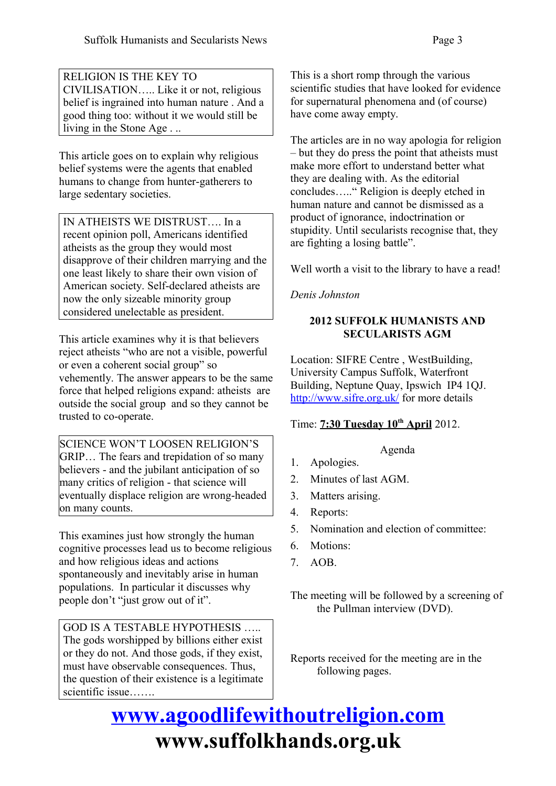RELIGION IS THE KEY TO CIVILISATION….. Like it or not, religious belief is ingrained into human nature . And a good thing too: without it we would still be living in the Stone Age . ..

This article goes on to explain why religious belief systems were the agents that enabled humans to change from hunter-gatherers to large sedentary societies.

IN ATHEISTS WE DISTRUST…. In a recent opinion poll, Americans identified atheists as the group they would most disapprove of their children marrying and the one least likely to share their own vision of American society. Self-declared atheists are now the only sizeable minority group considered unelectable as president.

This article examines why it is that believers reject atheists "who are not a visible, powerful or even a coherent social group" so vehemently. The answer appears to be the same force that helped religions expand: atheists are outside the social group and so they cannot be trusted to co-operate.

SCIENCE WON'T LOOSEN RELIGION'S GRIP… The fears and trepidation of so many believers - and the jubilant anticipation of so many critics of religion - that science will eventually displace religion are wrong-headed on many counts.

This examines just how strongly the human cognitive processes lead us to become religious and how religious ideas and actions spontaneously and inevitably arise in human populations. In particular it discusses why people don't "just grow out of it".

GOD IS A TESTABLE HYPOTHESIS ….. The gods worshipped by billions either exist or they do not. And those gods, if they exist, must have observable consequences. Thus, the question of their existence is a legitimate scientific issue…….

This is a short romp through the various scientific studies that have looked for evidence for supernatural phenomena and (of course) have come away empty.

The articles are in no way apologia for religion – but they do press the point that atheists must make more effort to understand better what they are dealing with. As the editorial concludes….." Religion is deeply etched in human nature and cannot be dismissed as a product of ignorance, indoctrination or stupidity. Until secularists recognise that, they are fighting a losing battle".

Well worth a visit to the library to have a read!

*Denis Johnston*

#### **2012 SUFFOLK HUMANISTS AND SECULARISTS AGM**

Location: SIFRE Centre , WestBuilding, University Campus Suffolk, Waterfront Building, Neptune Quay, Ipswich IP4 1QJ. <http://www.sifre.org.uk/>for more details

#### Time: **7:30 Tuesday 10th April** 2012.

#### Agenda

- 1. Apologies.
- 2. Minutes of last AGM.
- 3. Matters arising.
- 4. Reports:
- 5. Nomination and election of committee:
- 6. Motions:
- 7. AOB.

The meeting will be followed by a screening of the Pullman interview (DVD).

Reports received for the meeting are in the following pages.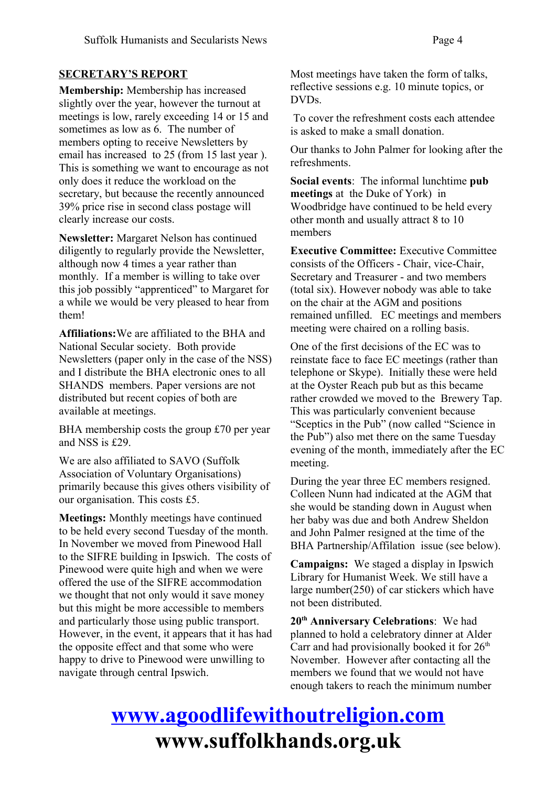#### **SECRETARY'S REPORT**

**Membership:** Membership has increased slightly over the year, however the turnout at meetings is low, rarely exceeding 14 or 15 and sometimes as low as 6. The number of members opting to receive Newsletters by email has increased to 25 (from 15 last year ). This is something we want to encourage as not only does it reduce the workload on the secretary, but because the recently announced 39% price rise in second class postage will clearly increase our costs.

**Newsletter:** Margaret Nelson has continued diligently to regularly provide the Newsletter, although now 4 times a year rather than monthly. If a member is willing to take over this job possibly "apprenticed" to Margaret for a while we would be very pleased to hear from them!

**Affiliations:**We are affiliated to the BHA and National Secular society. Both provide Newsletters (paper only in the case of the NSS) and I distribute the BHA electronic ones to all SHANDS members. Paper versions are not distributed but recent copies of both are available at meetings.

BHA membership costs the group £70 per year and NSS is £29.

We are also affiliated to SAVO (Suffolk Association of Voluntary Organisations) primarily because this gives others visibility of our organisation. This costs £5.

**Meetings:** Monthly meetings have continued to be held every second Tuesday of the month. In November we moved from Pinewood Hall to the SIFRE building in Ipswich. The costs of Pinewood were quite high and when we were offered the use of the SIFRE accommodation we thought that not only would it save money but this might be more accessible to members and particularly those using public transport. However, in the event, it appears that it has had the opposite effect and that some who were happy to drive to Pinewood were unwilling to navigate through central Ipswich.

Most meetings have taken the form of talks, reflective sessions e.g. 10 minute topics, or DVDs.

 To cover the refreshment costs each attendee is asked to make a small donation.

Our thanks to John Palmer for looking after the refreshments.

**Social events**: The informal lunchtime **pub meetings** at the Duke of York) in Woodbridge have continued to be held every other month and usually attract 8 to 10 members

**Executive Committee:** Executive Committee consists of the Officers - Chair, vice-Chair, Secretary and Treasurer - and two members (total six). However nobody was able to take on the chair at the AGM and positions remained unfilled. EC meetings and members meeting were chaired on a rolling basis.

One of the first decisions of the EC was to reinstate face to face EC meetings (rather than telephone or Skype). Initially these were held at the Oyster Reach pub but as this became rather crowded we moved to the Brewery Tap. This was particularly convenient because "Sceptics in the Pub" (now called "Science in the Pub") also met there on the same Tuesday evening of the month, immediately after the EC meeting.

During the year three EC members resigned. Colleen Nunn had indicated at the AGM that she would be standing down in August when her baby was due and both Andrew Sheldon and John Palmer resigned at the time of the BHA Partnership/Affilation issue (see below).

**Campaigns:** We staged a display in Ipswich Library for Humanist Week. We still have a large number(250) of car stickers which have not been distributed.

**20th Anniversary Celebrations**: We had planned to hold a celebratory dinner at Alder Carr and had provisionally booked it for  $26<sup>th</sup>$ November. However after contacting all the members we found that we would not have enough takers to reach the minimum number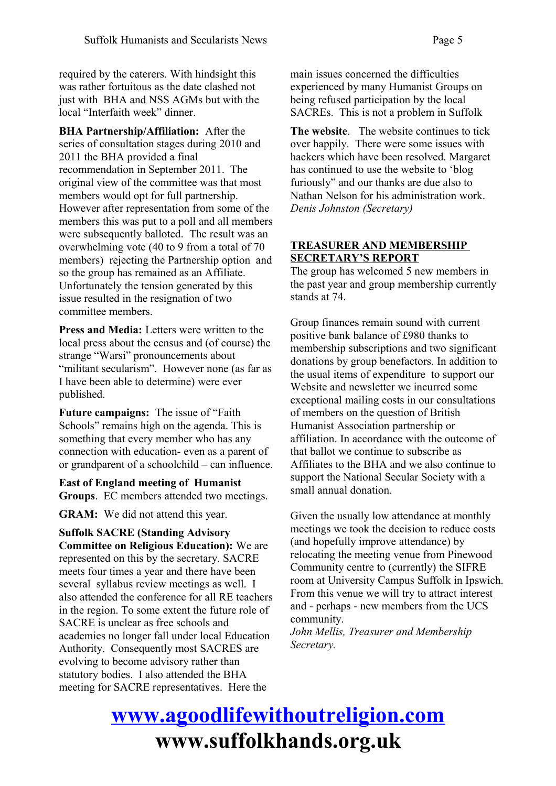required by the caterers. With hindsight this was rather fortuitous as the date clashed not just with BHA and NSS AGMs but with the local "Interfaith week" dinner.

**BHA Partnership/Affiliation:** After the series of consultation stages during 2010 and 2011 the BHA provided a final recommendation in September 2011. The original view of the committee was that most members would opt for full partnership. However after representation from some of the members this was put to a poll and all members were subsequently balloted. The result was an overwhelming vote (40 to 9 from a total of 70 members) rejecting the Partnership option and so the group has remained as an Affiliate. Unfortunately the tension generated by this issue resulted in the resignation of two committee members.

**Press and Media:** Letters were written to the local press about the census and (of course) the strange "Warsi" pronouncements about "militant secularism". However none (as far as I have been able to determine) were ever published.

**Future campaigns:** The issue of "Faith Schools" remains high on the agenda. This is something that every member who has any connection with education- even as a parent of or grandparent of a schoolchild – can influence.

**East of England meeting of Humanist Groups**. EC members attended two meetings.

**GRAM:** We did not attend this year.

**Suffolk SACRE (Standing Advisory Committee on Religious Education):** We are represented on this by the secretary. SACRE meets four times a year and there have been several syllabus review meetings as well. I also attended the conference for all RE teachers in the region. To some extent the future role of SACRE is unclear as free schools and academies no longer fall under local Education Authority. Consequently most SACRES are evolving to become advisory rather than statutory bodies. I also attended the BHA meeting for SACRE representatives. Here the

main issues concerned the difficulties experienced by many Humanist Groups on being refused participation by the local SACREs. This is not a problem in Suffolk

**The website**. The website continues to tick over happily. There were some issues with hackers which have been resolved. Margaret has continued to use the website to 'blog furiously" and our thanks are due also to Nathan Nelson for his administration work. *Denis Johnston (Secretary)*

#### **TREASURER AND MEMBERSHIP SECRETARY'S REPORT**

The group has welcomed 5 new members in the past year and group membership currently stands at 74.

Group finances remain sound with current positive bank balance of £980 thanks to membership subscriptions and two significant donations by group benefactors. In addition to the usual items of expenditure to support our Website and newsletter we incurred some exceptional mailing costs in our consultations of members on the question of British Humanist Association partnership or affiliation. In accordance with the outcome of that ballot we continue to subscribe as Affiliates to the BHA and we also continue to support the National Secular Society with a small annual donation.

Given the usually low attendance at monthly meetings we took the decision to reduce costs (and hopefully improve attendance) by relocating the meeting venue from Pinewood Community centre to (currently) the SIFRE room at University Campus Suffolk in Ipswich. From this venue we will try to attract interest and - perhaps - new members from the UCS community. *John Mellis, Treasurer and Membership*

*Secretary.*